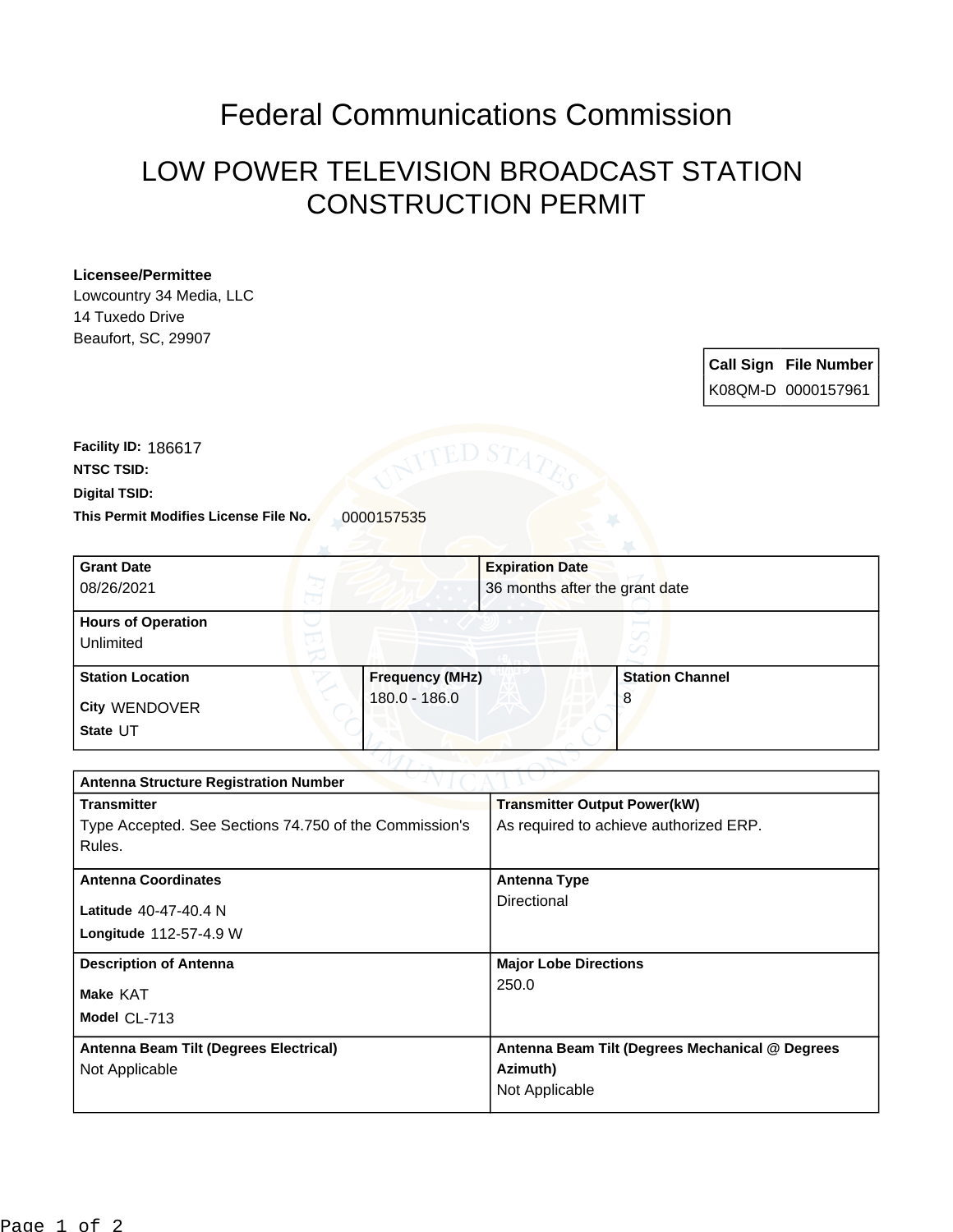## Federal Communications Commission

## LOW POWER TELEVISION BROADCAST STATION CONSTRUCTION PERMIT

## **Licensee/Permittee**

Lowcountry 34 Media, LLC 14 Tuxedo Drive Beaufort, SC, 29907

> **Call Sign File Number** K08QM-D 0000157961

This Permit Modifies License File No. 0000157535 **Digital TSID: NTSC TSID: Facility ID:** 186617

| <b>Grant Date</b><br>08/26/2021        | <b>Expiration Date</b> | 36 months after the grant date |
|----------------------------------------|------------------------|--------------------------------|
| <b>Hours of Operation</b><br>Unlimited |                        |                                |
| <b>Station Location</b>                | <b>Frequency (MHz)</b> | <b>Station Channel</b>         |
| City WENDOVER<br>State UT              | 180.0 - 186.0          | 8                              |

| <b>Antenna Structure Registration Number</b>           |                                                 |  |  |
|--------------------------------------------------------|-------------------------------------------------|--|--|
| <b>Transmitter</b>                                     | <b>Transmitter Output Power(kW)</b>             |  |  |
| Type Accepted. See Sections 74.750 of the Commission's | As required to achieve authorized ERP.          |  |  |
| Rules.                                                 |                                                 |  |  |
| <b>Antenna Coordinates</b>                             | <b>Antenna Type</b>                             |  |  |
| Latitude $40-47-40.4$ N                                | Directional                                     |  |  |
| Longitude 112-57-4.9 W                                 |                                                 |  |  |
| <b>Description of Antenna</b>                          | <b>Major Lobe Directions</b>                    |  |  |
| <b>Make KAT</b>                                        | 250.0                                           |  |  |
| Model CL-713                                           |                                                 |  |  |
| Antenna Beam Tilt (Degrees Electrical)                 | Antenna Beam Tilt (Degrees Mechanical @ Degrees |  |  |
| Not Applicable                                         | Azimuth)                                        |  |  |
|                                                        | Not Applicable                                  |  |  |